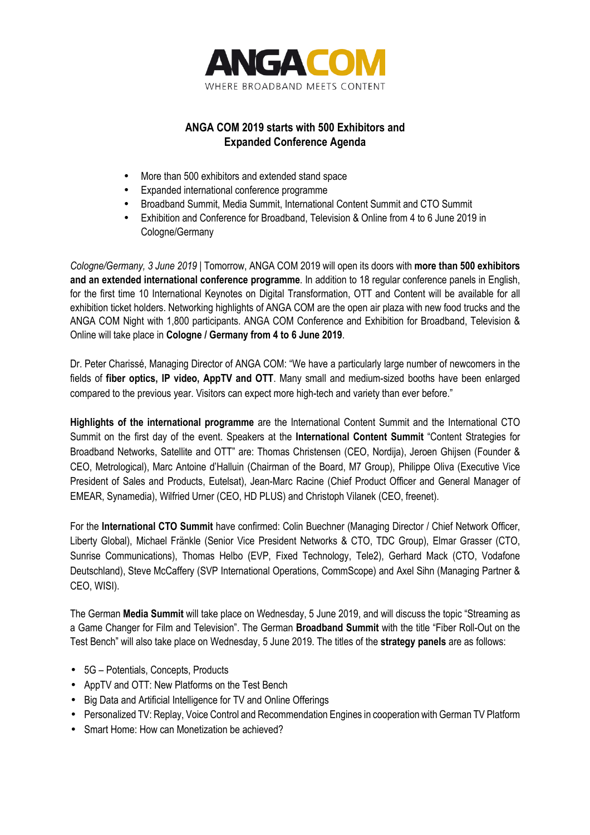

## **ANGA COM 2019 starts with 500 Exhibitors and Expanded Conference Agenda**

- More than 500 exhibitors and extended stand space
- Expanded international conference programme
- Broadband Summit, Media Summit, International Content Summit and CTO Summit
- Exhibition and Conference for Broadband, Television & Online from 4 to 6 June 2019 in Cologne/Germany

*Cologne/Germany, 3 June 2019* | Tomorrow, ANGA COM 2019 will open its doors with **more than 500 exhibitors and an extended international conference programme**. In addition to 18 regular conference panels in English, for the first time 10 International Keynotes on Digital Transformation, OTT and Content will be available for all exhibition ticket holders. Networking highlights of ANGA COM are the open air plaza with new food trucks and the ANGA COM Night with 1,800 participants. ANGA COM Conference and Exhibition for Broadband, Television & Online will take place in **Cologne / Germany from 4 to 6 June 2019**.

Dr. Peter Charissé, Managing Director of ANGA COM: "We have a particularly large number of newcomers in the fields of **fiber optics, IP video, AppTV and OTT**. Many small and medium-sized booths have been enlarged compared to the previous year. Visitors can expect more high-tech and variety than ever before."

**Highlights of the international programme** are the International Content Summit and the International CTO Summit on the first day of the event. Speakers at the **International Content Summit** "Content Strategies for Broadband Networks, Satellite and OTT" are: Thomas Christensen (CEO, Nordija), Jeroen Ghijsen (Founder & CEO, Metrological), Marc Antoine d'Halluin (Chairman of the Board, M7 Group), Philippe Oliva (Executive Vice President of Sales and Products, Eutelsat), Jean-Marc Racine (Chief Product Officer and General Manager of EMEAR, Synamedia), Wilfried Urner (CEO, HD PLUS) and Christoph Vilanek (CEO, freenet).

For the **International CTO Summit** have confirmed: Colin Buechner (Managing Director / Chief Network Officer, Liberty Global), Michael Fränkle (Senior Vice President Networks & CTO, TDC Group), Elmar Grasser (CTO, Sunrise Communications), Thomas Helbo (EVP, Fixed Technology, Tele2), Gerhard Mack (CTO, Vodafone Deutschland), Steve McCaffery (SVP International Operations, CommScope) and Axel Sihn (Managing Partner & CEO, WISI).

The German **Media Summit** will take place on Wednesday, 5 June 2019, and will discuss the topic "Streaming as a Game Changer for Film and Television". The German **Broadband Summit** with the title "Fiber Roll-Out on the Test Bench" will also take place on Wednesday, 5 June 2019. The titles of the **strategy panels** are as follows:

- 5G Potentials, Concepts, Products
- AppTV and OTT: New Platforms on the Test Bench
- Big Data and Artificial Intelligence for TV and Online Offerings
- Personalized TV: Replay, Voice Control and Recommendation Engines in cooperation with German TV Platform
- Smart Home: How can Monetization be achieved?